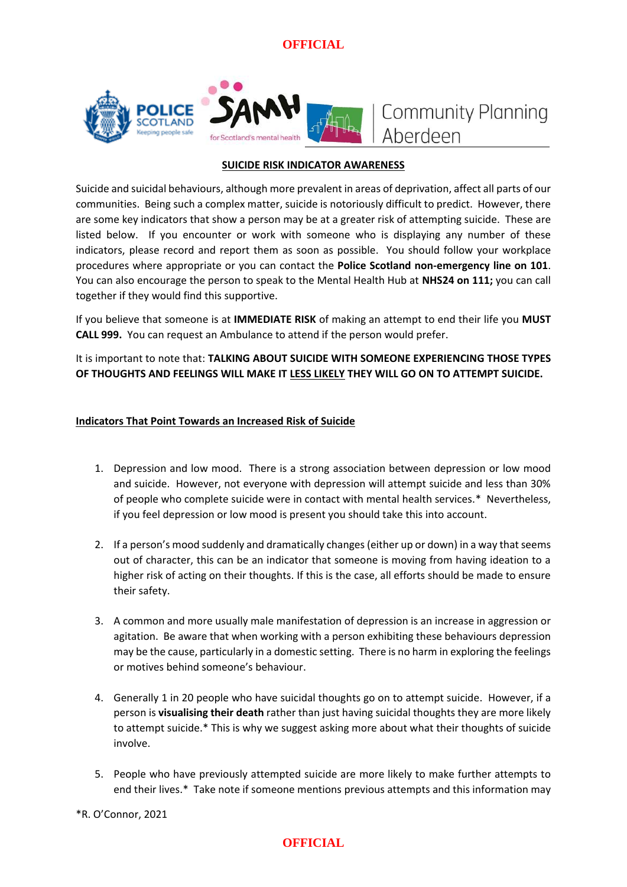**OFFICIAL**



# **Community Planning** Aberdeen

#### **SUICIDE RISK INDICATOR AWARENESS**

Suicide and suicidal behaviours, although more prevalent in areas of deprivation, affect all parts of our communities. Being such a complex matter, suicide is notoriously difficult to predict. However, there are some key indicators that show a person may be at a greater risk of attempting suicide. These are listed below. If you encounter or work with someone who is displaying any number of these indicators, please record and report them as soon as possible. You should follow your workplace procedures where appropriate or you can contact the **Police Scotland non-emergency line on 101**. You can also encourage the person to speak to the Mental Health Hub at **NHS24 on 111;** you can call together if they would find this supportive.

If you believe that someone is at **IMMEDIATE RISK** of making an attempt to end their life you **MUST CALL 999.** You can request an Ambulance to attend if the person would prefer.

It is important to note that: **TALKING ABOUT SUICIDE WITH SOMEONE EXPERIENCING THOSE TYPES OF THOUGHTS AND FEELINGS WILL MAKE IT LESS LIKELY THEY WILL GO ON TO ATTEMPT SUICIDE.**

#### **Indicators That Point Towards an Increased Risk of Suicide**

- 1. Depression and low mood. There is a strong association between depression or low mood and suicide. However, not everyone with depression will attempt suicide and less than 30% of people who complete suicide were in contact with mental health services.\* Nevertheless, if you feel depression or low mood is present you should take this into account.
- 2. If a person's mood suddenly and dramatically changes (either up or down) in a way that seems out of character, this can be an indicator that someone is moving from having ideation to a higher risk of acting on their thoughts. If this is the case, all efforts should be made to ensure their safety.
- 3. A common and more usually male manifestation of depression is an increase in aggression or agitation. Be aware that when working with a person exhibiting these behaviours depression may be the cause, particularly in a domestic setting. There is no harm in exploring the feelings or motives behind someone's behaviour.
- 4. Generally 1 in 20 people who have suicidal thoughts go on to attempt suicide. However, if a person is **visualising their death** rather than just having suicidal thoughts they are more likely to attempt suicide.\* This is why we suggest asking more about what their thoughts of suicide involve.
- 5. People who have previously attempted suicide are more likely to make further attempts to end their lives.\* Take note if someone mentions previous attempts and this information may

\*R. O'Connor, 2021

# **OFFICIAL**